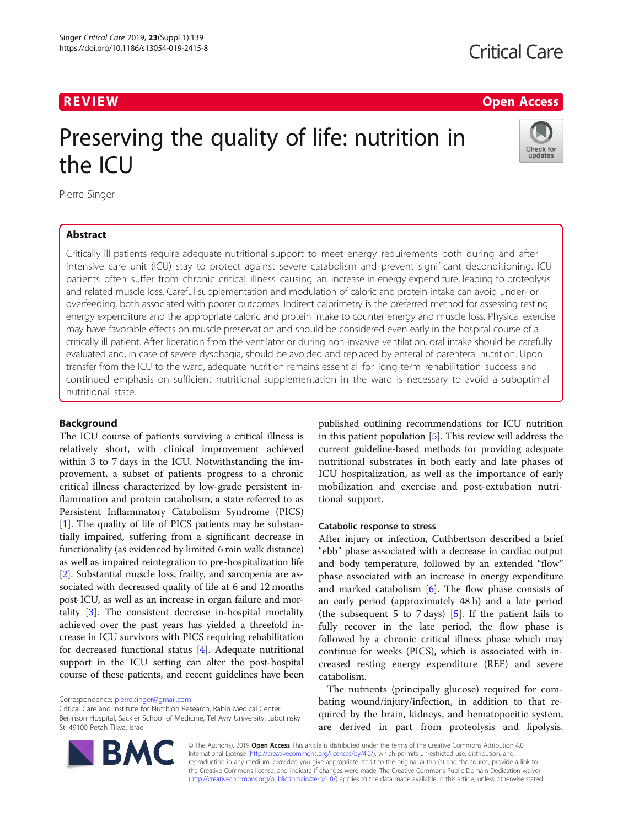# **Critical Care**

# R EVI EW Open Access

Check for updates

# Preserving the quality of life: nutrition in the ICU

Pierre Singer

# Abstract

Critically ill patients require adequate nutritional support to meet energy requirements both during and after intensive care unit (ICU) stay to protect against severe catabolism and prevent significant deconditioning. ICU patients often suffer from chronic critical illness causing an increase in energy expenditure, leading to proteolysis and related muscle loss. Careful supplementation and modulation of caloric and protein intake can avoid under- or overfeeding, both associated with poorer outcomes. Indirect calorimetry is the preferred method for assessing resting energy expenditure and the appropriate caloric and protein intake to counter energy and muscle loss. Physical exercise may have favorable effects on muscle preservation and should be considered even early in the hospital course of a critically ill patient. After liberation from the ventilator or during non-invasive ventilation, oral intake should be carefully evaluated and, in case of severe dysphagia, should be avoided and replaced by enteral of parenteral nutrition. Upon transfer from the ICU to the ward, adequate nutrition remains essential for long-term rehabilitation success and continued emphasis on sufficient nutritional supplementation in the ward is necessary to avoid a suboptimal nutritional state.

# Background

The ICU course of patients surviving a critical illness is relatively short, with clinical improvement achieved within 3 to 7 days in the ICU. Notwithstanding the improvement, a subset of patients progress to a chronic critical illness characterized by low-grade persistent inflammation and protein catabolism, a state referred to as Persistent Inflammatory Catabolism Syndrome (PICS) [[1\]](#page-3-0). The quality of life of PICS patients may be substantially impaired, suffering from a significant decrease in functionality (as evidenced by limited 6 min walk distance) as well as impaired reintegration to pre-hospitalization life [[2\]](#page-3-0). Substantial muscle loss, frailty, and sarcopenia are associated with decreased quality of life at 6 and 12 months post-ICU, as well as an increase in organ failure and mortality [[3\]](#page-3-0). The consistent decrease in-hospital mortality achieved over the past years has yielded a threefold increase in ICU survivors with PICS requiring rehabilitation for decreased functional status [\[4\]](#page-3-0). Adequate nutritional support in the ICU setting can alter the post-hospital course of these patients, and recent guidelines have been

Critical Care and Institute for Nutrition Research, Rabin Medical Center, Beilinson Hospital, Sackler School of Medicine, Tel Aviv University, Jabotinsky St, 49100 Petah Tikva, Israel



#### Catabolic response to stress

After injury or infection, Cuthbertson described a brief "ebb" phase associated with a decrease in cardiac output and body temperature, followed by an extended "flow" phase associated with an increase in energy expenditure and marked catabolism [\[6](#page-3-0)]. The flow phase consists of an early period (approximately 48 h) and a late period (the subsequent 5 to 7 days)  $[5]$  $[5]$ . If the patient fails to fully recover in the late period, the flow phase is followed by a chronic critical illness phase which may continue for weeks (PICS), which is associated with increased resting energy expenditure (REE) and severe catabolism.

The nutrients (principally glucose) required for combating wound/injury/infection, in addition to that required by the brain, kidneys, and hematopoeitic system, are derived in part from proteolysis and lipolysis.



© The Author(s). 2019 **Open Access** This article is distributed under the terms of the Creative Commons Attribution 4.0 International License [\(http://creativecommons.org/licenses/by/4.0/](http://creativecommons.org/licenses/by/4.0/)), which permits unrestricted use, distribution, and reproduction in any medium, provided you give appropriate credit to the original author(s) and the source, provide a link to the Creative Commons license, and indicate if changes were made. The Creative Commons Public Domain Dedication waiver [\(http://creativecommons.org/publicdomain/zero/1.0/](http://creativecommons.org/publicdomain/zero/1.0/)) applies to the data made available in this article, unless otherwise stated.

Correspondence: [pierre.singer@gmail.com](mailto:pierre.singer@gmail.com)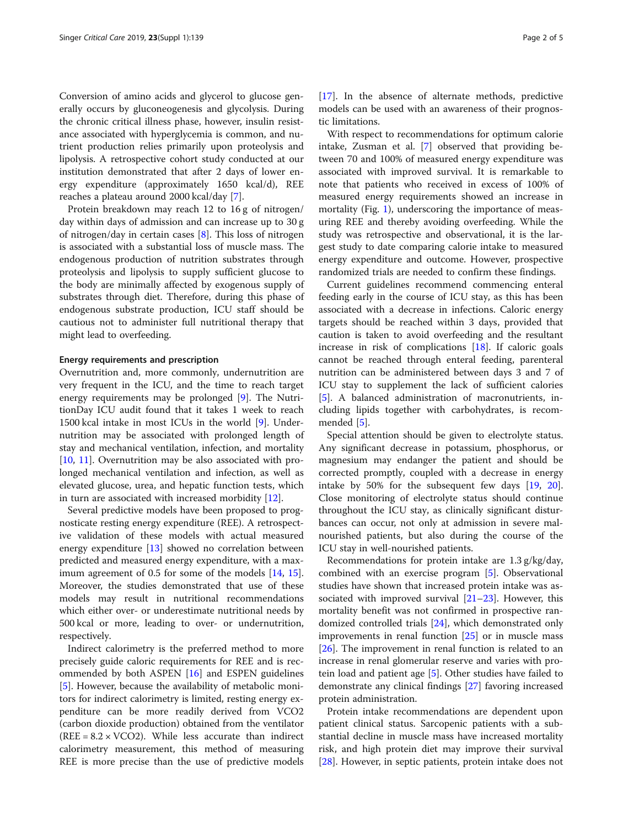Conversion of amino acids and glycerol to glucose generally occurs by gluconeogenesis and glycolysis. During the chronic critical illness phase, however, insulin resistance associated with hyperglycemia is common, and nutrient production relies primarily upon proteolysis and lipolysis. A retrospective cohort study conducted at our institution demonstrated that after 2 days of lower energy expenditure (approximately 1650 kcal/d), REE reaches a plateau around 2000 kcal/day [\[7](#page-3-0)].

Protein breakdown may reach 12 to 16 g of nitrogen/ day within days of admission and can increase up to 30 g of nitrogen/day in certain cases [\[8](#page-3-0)]. This loss of nitrogen is associated with a substantial loss of muscle mass. The endogenous production of nutrition substrates through proteolysis and lipolysis to supply sufficient glucose to the body are minimally affected by exogenous supply of substrates through diet. Therefore, during this phase of endogenous substrate production, ICU staff should be cautious not to administer full nutritional therapy that might lead to overfeeding.

### Energy requirements and prescription

Overnutrition and, more commonly, undernutrition are very frequent in the ICU, and the time to reach target energy requirements may be prolonged [[9\]](#page-3-0). The NutritionDay ICU audit found that it takes 1 week to reach 1500 kcal intake in most ICUs in the world [\[9](#page-3-0)]. Undernutrition may be associated with prolonged length of stay and mechanical ventilation, infection, and mortality [[10,](#page-3-0) [11](#page-3-0)]. Overnutrition may be also associated with prolonged mechanical ventilation and infection, as well as elevated glucose, urea, and hepatic function tests, which in turn are associated with increased morbidity [\[12\]](#page-3-0).

Several predictive models have been proposed to prognosticate resting energy expenditure (REE). A retrospective validation of these models with actual measured energy expenditure [[13\]](#page-3-0) showed no correlation between predicted and measured energy expenditure, with a maximum agreement of 0.5 for some of the models [\[14,](#page-3-0) [15](#page-3-0)]. Moreover, the studies demonstrated that use of these models may result in nutritional recommendations which either over- or underestimate nutritional needs by 500 kcal or more, leading to over- or undernutrition, respectively.

Indirect calorimetry is the preferred method to more precisely guide caloric requirements for REE and is recommended by both ASPEN [[16](#page-3-0)] and ESPEN guidelines [[5\]](#page-3-0). However, because the availability of metabolic monitors for indirect calorimetry is limited, resting energy expenditure can be more readily derived from VCO2 (carbon dioxide production) obtained from the ventilator (REE =  $8.2 \times VCO2$ ). While less accurate than indirect calorimetry measurement, this method of measuring REE is more precise than the use of predictive models [[17\]](#page-3-0). In the absence of alternate methods, predictive models can be used with an awareness of their prognostic limitations.

With respect to recommendations for optimum calorie intake, Zusman et al. [\[7](#page-3-0)] observed that providing between 70 and 100% of measured energy expenditure was associated with improved survival. It is remarkable to note that patients who received in excess of 100% of measured energy requirements showed an increase in mortality (Fig. [1](#page-2-0)), underscoring the importance of measuring REE and thereby avoiding overfeeding. While the study was retrospective and observational, it is the largest study to date comparing calorie intake to measured energy expenditure and outcome. However, prospective randomized trials are needed to confirm these findings.

Current guidelines recommend commencing enteral feeding early in the course of ICU stay, as this has been associated with a decrease in infections. Caloric energy targets should be reached within 3 days, provided that caution is taken to avoid overfeeding and the resultant increase in risk of complications [\[18](#page-3-0)]. If caloric goals cannot be reached through enteral feeding, parenteral nutrition can be administered between days 3 and 7 of ICU stay to supplement the lack of sufficient calories [[5\]](#page-3-0). A balanced administration of macronutrients, including lipids together with carbohydrates, is recommended [[5\]](#page-3-0).

Special attention should be given to electrolyte status. Any significant decrease in potassium, phosphorus, or magnesium may endanger the patient and should be corrected promptly, coupled with a decrease in energy intake by 50% for the subsequent few days [[19,](#page-4-0) [20](#page-4-0)]. Close monitoring of electrolyte status should continue throughout the ICU stay, as clinically significant disturbances can occur, not only at admission in severe malnourished patients, but also during the course of the ICU stay in well-nourished patients.

Recommendations for protein intake are 1.3 g/kg/day, combined with an exercise program [[5\]](#page-3-0). Observational studies have shown that increased protein intake was associated with improved survival [\[21](#page-4-0)–[23\]](#page-4-0). However, this mortality benefit was not confirmed in prospective randomized controlled trials [[24\]](#page-4-0), which demonstrated only improvements in renal function [[25](#page-4-0)] or in muscle mass [[26\]](#page-4-0). The improvement in renal function is related to an increase in renal glomerular reserve and varies with protein load and patient age [\[5](#page-3-0)]. Other studies have failed to demonstrate any clinical findings [[27](#page-4-0)] favoring increased protein administration.

Protein intake recommendations are dependent upon patient clinical status. Sarcopenic patients with a substantial decline in muscle mass have increased mortality risk, and high protein diet may improve their survival [[28\]](#page-4-0). However, in septic patients, protein intake does not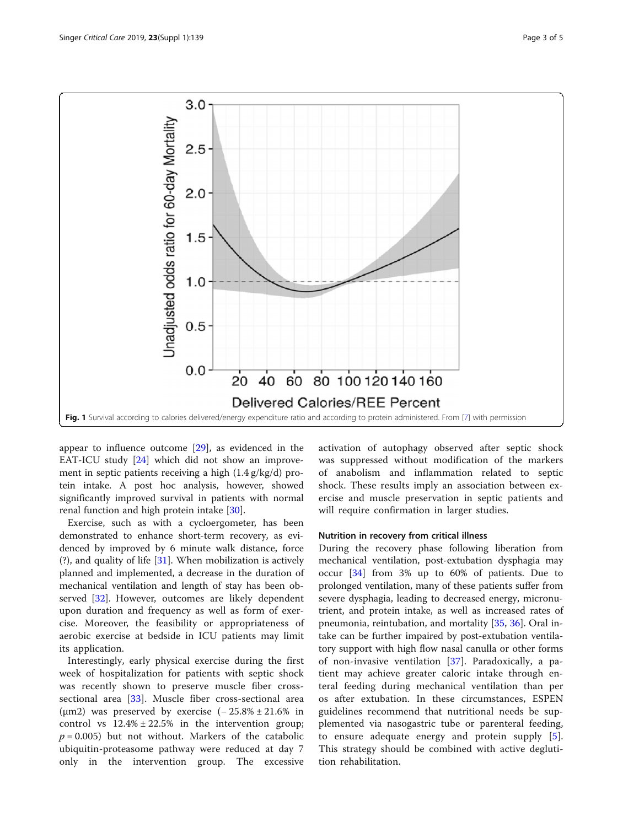<span id="page-2-0"></span>

appear to influence outcome [\[29\]](#page-4-0), as evidenced in the EAT-ICU study [[24\]](#page-4-0) which did not show an improvement in septic patients receiving a high (1.4 g/kg/d) protein intake. A post hoc analysis, however, showed significantly improved survival in patients with normal renal function and high protein intake [[30](#page-4-0)].

Exercise, such as with a cycloergometer, has been demonstrated to enhance short-term recovery, as evidenced by improved by 6 minute walk distance, force (?), and quality of life [\[31](#page-4-0)]. When mobilization is actively planned and implemented, a decrease in the duration of mechanical ventilation and length of stay has been observed [[32\]](#page-4-0). However, outcomes are likely dependent upon duration and frequency as well as form of exercise. Moreover, the feasibility or appropriateness of aerobic exercise at bedside in ICU patients may limit its application.

Interestingly, early physical exercise during the first week of hospitalization for patients with septic shock was recently shown to preserve muscle fiber crosssectional area [[33\]](#page-4-0). Muscle fiber cross-sectional area ( $\mu$ m2) was preserved by exercise (−25.8% ± 21.6% in control vs  $12.4\% \pm 22.5\%$  in the intervention group;  $p = 0.005$ ) but not without. Markers of the catabolic ubiquitin-proteasome pathway were reduced at day 7 only in the intervention group. The excessive activation of autophagy observed after septic shock was suppressed without modification of the markers of anabolism and inflammation related to septic shock. These results imply an association between exercise and muscle preservation in septic patients and will require confirmation in larger studies.

# Nutrition in recovery from critical illness

During the recovery phase following liberation from mechanical ventilation, post-extubation dysphagia may occur [[34\]](#page-4-0) from 3% up to 60% of patients. Due to prolonged ventilation, many of these patients suffer from severe dysphagia, leading to decreased energy, micronutrient, and protein intake, as well as increased rates of pneumonia, reintubation, and mortality [[35,](#page-4-0) [36](#page-4-0)]. Oral intake can be further impaired by post-extubation ventilatory support with high flow nasal canulla or other forms of non-invasive ventilation [[37\]](#page-4-0). Paradoxically, a patient may achieve greater caloric intake through enteral feeding during mechanical ventilation than per os after extubation. In these circumstances, ESPEN guidelines recommend that nutritional needs be supplemented via nasogastric tube or parenteral feeding, to ensure adequate energy and protein supply [\[5](#page-3-0)]. This strategy should be combined with active deglutition rehabilitation.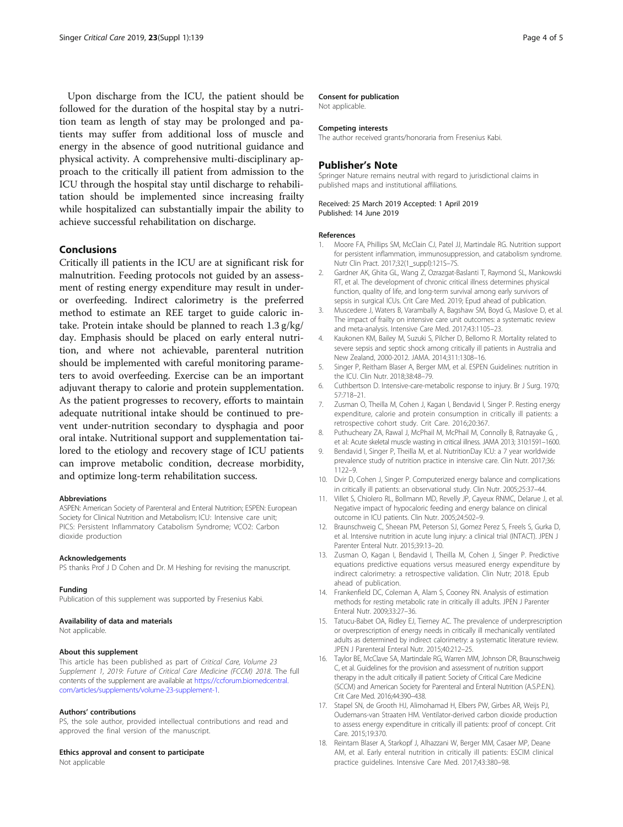<span id="page-3-0"></span>Upon discharge from the ICU, the patient should be followed for the duration of the hospital stay by a nutrition team as length of stay may be prolonged and patients may suffer from additional loss of muscle and energy in the absence of good nutritional guidance and physical activity. A comprehensive multi-disciplinary approach to the critically ill patient from admission to the ICU through the hospital stay until discharge to rehabilitation should be implemented since increasing frailty while hospitalized can substantially impair the ability to achieve successful rehabilitation on discharge.

# Conclusions

Critically ill patients in the ICU are at significant risk for malnutrition. Feeding protocols not guided by an assessment of resting energy expenditure may result in underor overfeeding. Indirect calorimetry is the preferred method to estimate an REE target to guide caloric intake. Protein intake should be planned to reach 1.3 g/kg/ day. Emphasis should be placed on early enteral nutrition, and where not achievable, parenteral nutrition should be implemented with careful monitoring parameters to avoid overfeeding. Exercise can be an important adjuvant therapy to calorie and protein supplementation. As the patient progresses to recovery, efforts to maintain adequate nutritional intake should be continued to prevent under-nutrition secondary to dysphagia and poor oral intake. Nutritional support and supplementation tailored to the etiology and recovery stage of ICU patients can improve metabolic condition, decrease morbidity, and optimize long-term rehabilitation success.

#### Abbreviations

ASPEN: American Society of Parenteral and Enteral Nutrition; ESPEN: European Society for Clinical Nutrition and Metabolism; ICU: Intensive care unit; PICS: Persistent Inflammatory Catabolism Syndrome; VCO2: Carbon dioxide production

#### Acknowledgements

PS thanks Prof J D Cohen and Dr. M Heshing for revising the manuscript.

#### Funding

Publication of this supplement was supported by Fresenius Kabi.

#### Availability of data and materials

Not applicable.

#### About this supplement

This article has been published as part of Critical Care, Volume 23 Supplement 1, 2019: Future of Critical Care Medicine (FCCM) 2018. The full contents of the supplement are available at [https://ccforum.biomedcentral.](https://ccforum.biomedcentral.com/articles/supplements/volume-23-supplement-1) [com/articles/supplements/volume-23-supplement-1.](https://ccforum.biomedcentral.com/articles/supplements/volume-23-supplement-1)

#### Authors' contributions

PS, the sole author, provided intellectual contributions and read and approved the final version of the manuscript.

#### Ethics approval and consent to participate

Not applicable

#### Consent for publication

Not applicable.

#### Competing interests

The author received grants/honoraria from Fresenius Kabi.

# Publisher's Note

Springer Nature remains neutral with regard to jurisdictional claims in published maps and institutional affiliations.

Received: 25 March 2019 Accepted: 1 April 2019 Published: 14 June 2019

### References

- 1. Moore FA, Phillips SM, McClain CJ, Patel JJ, Martindale RG. Nutrition support for persistent inflammation, immunosuppression, and catabolism syndrome. Nutr Clin Pract. 2017;32(1\_suppl):121S–7S.
- 2. Gardner AK, Ghita GL, Wang Z, Ozrazgat-Baslanti T, Raymond SL, Mankowski RT, et al. The development of chronic critical illness determines physical function, quality of life, and long-term survival among early survivors of sepsis in surgical ICUs. Crit Care Med. 2019; Epud ahead of publication.
- 3. Muscedere J, Waters B, Varambally A, Bagshaw SM, Boyd G, Maslove D, et al. The impact of frailty on intensive care unit outcomes: a systematic review and meta-analysis. Intensive Care Med. 2017;43:1105–23.
- 4. Kaukonen KM, Bailey M, Suzuki S, Pilcher D, Bellomo R. Mortality related to severe sepsis and septic shock among critically ill patients in Australia and New Zealand, 2000-2012. JAMA. 2014;311:1308–16.
- 5. Singer P, Reitham Blaser A, Berger MM, et al. ESPEN Guidelines: nutrition in the ICU. Clin Nutr. 2018;38:48–79.
- 6. Cuthbertson D. Intensive-care-metabolic response to injury. Br J Surg. 1970; 57:718–21.
- 7. Zusman O, Theilla M, Cohen J, Kagan I, Bendavid I, Singer P. Resting energy expenditure, calorie and protein consumption in critically ill patients: a retrospective cohort study. Crit Care. 2016;20:367.
- 8. Puthucheary ZA, Rawal J, McPhail M, McPhail M, Connolly B, Ratnayake G, , et al: Acute skeletal muscle wasting in critical illness. JAMA 2013; 310:1591–1600.
- 9. Bendavid I, Singer P, Theilla M, et al. NutritionDay ICU: a 7 year worldwide prevalence study of nutrition practice in intensive care. Clin Nutr. 2017;36: 1122–9.
- 10. Dvir D, Cohen J, Singer P. Computerized energy balance and complications in critically ill patients: an observational study. Clin Nutr. 2005;25:37–44.
- 11. Villet S, Chiolero RL, Bollmann MD, Revelly JP, Cayeux RNMC, Delarue J, et al. Negative impact of hypocaloric feeding and energy balance on clinical outcome in ICU patients. Clin Nutr. 2005;24:502–9.
- 12. Braunschweig C, Sheean PM, Peterson SJ, Gomez Perez S, Freels S, Gurka D, et al. Intensive nutrition in acute lung injury: a clinical trial (INTACT). JPEN J Parenter Enteral Nutr. 2015;39:13–20.
- 13. Zusman O, Kagan I, Bendavid I, Theilla M, Cohen J, Singer P. Predictive equations predictive equations versus measured energy expenditure by indirect calorimetry: a retrospective validation. Clin Nutr; 2018. Epub ahead of publication.
- 14. Frankenfield DC, Coleman A, Alam S, Cooney RN. Analysis of estimation methods for resting metabolic rate in critically ill adults. JPEN J Parenter Enteral Nutr. 2009;33:27–36.
- 15. Tatucu-Babet OA, Ridley EJ, Tierney AC. The prevalence of underprescription or overprescription of energy needs in critically ill mechanically ventilated adults as determined by indirect calorimetry: a systematic literature review. JPEN J Parenteral Enteral Nutr. 2015;40:212–25.
- 16. Taylor BE, McClave SA, Martindale RG, Warren MM, Johnson DR, Braunschweig C, et al. Guidelines for the provision and assessment of nutrition support therapy in the adult critically ill patient: Society of Critical Care Medicine (SCCM) and American Society for Parenteral and Enteral Nutrition (A.S.P.E.N.). Crit Care Med. 2016;44:390–438.
- 17. Stapel SN, de Grooth HJ, Alimohamad H, Elbers PW, Girbes AR, Weijs PJ, Oudemans-van Straaten HM. Ventilator-derived carbon dioxide production to assess energy expenditure in critically ill patients: proof of concept. Crit Care. 2015;19:370.
- 18. Reintam Blaser A, Starkopf J, Alhazzani W, Berger MM, Casaer MP, Deane AM, et al. Early enteral nutrition in critically ill patients: ESCIM clinical practice guidelines. Intensive Care Med. 2017;43:380–98.